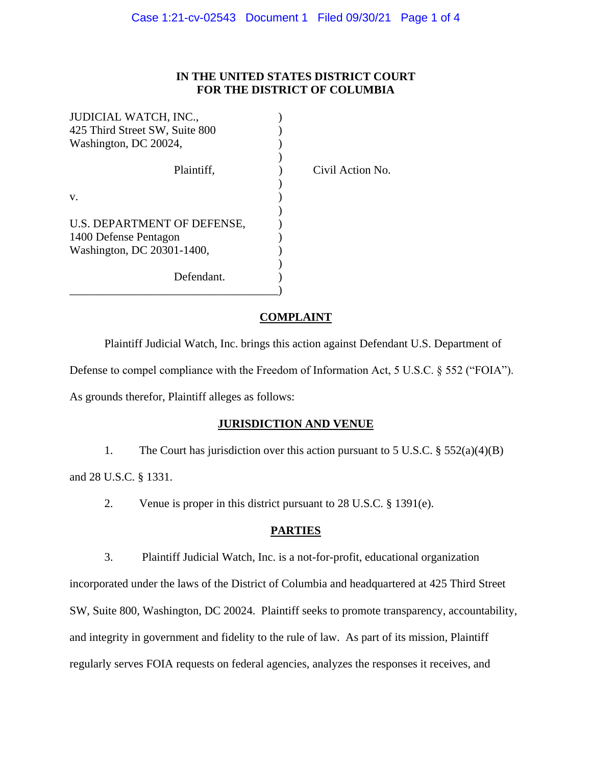## **IN THE UNITED STATES DISTRICT COURT FOR THE DISTRICT OF COLUMBIA**

| JUDICIAL WATCH, INC.,          |  |
|--------------------------------|--|
| 425 Third Street SW, Suite 800 |  |
| Washington, DC 20024,          |  |
|                                |  |
| Plaintiff,                     |  |
|                                |  |
| v.                             |  |
|                                |  |
| U.S. DEPARTMENT OF DEFENSE,    |  |
| 1400 Defense Pentagon          |  |
| Washington, DC 20301-1400,     |  |
|                                |  |
| Defendant.                     |  |
|                                |  |

Civil Action No.

## **COMPLAINT**

Plaintiff Judicial Watch, Inc. brings this action against Defendant U.S. Department of Defense to compel compliance with the Freedom of Information Act, 5 U.S.C. § 552 ("FOIA").

As grounds therefor, Plaintiff alleges as follows:

# **JURISDICTION AND VENUE**

1. The Court has jurisdiction over this action pursuant to 5 U.S.C. § 552(a)(4)(B)

and 28 U.S.C. § 1331.

2. Venue is proper in this district pursuant to 28 U.S.C. § 1391(e).

# **PARTIES**

3. Plaintiff Judicial Watch, Inc. is a not-for-profit, educational organization

incorporated under the laws of the District of Columbia and headquartered at 425 Third Street SW, Suite 800, Washington, DC 20024. Plaintiff seeks to promote transparency, accountability, and integrity in government and fidelity to the rule of law. As part of its mission, Plaintiff regularly serves FOIA requests on federal agencies, analyzes the responses it receives, and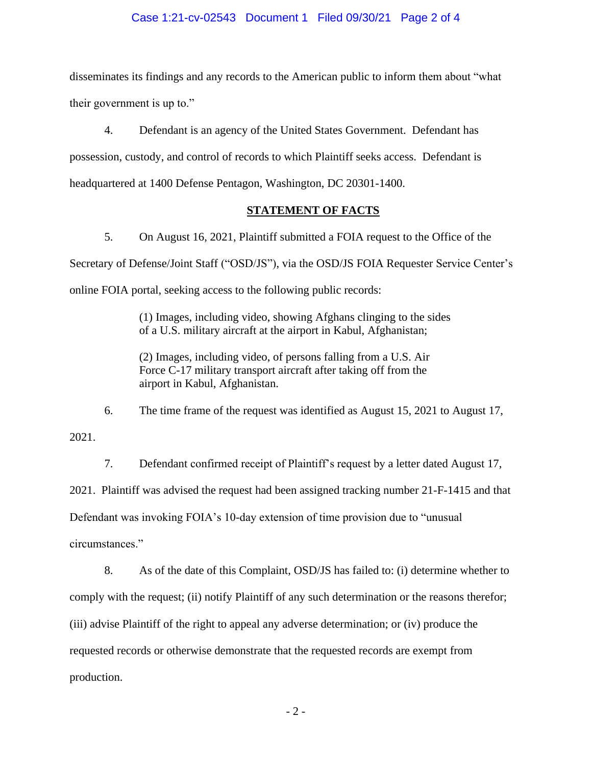#### Case 1:21-cv-02543 Document 1 Filed 09/30/21 Page 2 of 4

disseminates its findings and any records to the American public to inform them about "what their government is up to."

4. Defendant is an agency of the United States Government. Defendant has possession, custody, and control of records to which Plaintiff seeks access. Defendant is headquartered at 1400 Defense Pentagon, Washington, DC 20301-1400.

#### **STATEMENT OF FACTS**

5. On August 16, 2021, Plaintiff submitted a FOIA request to the Office of the Secretary of Defense/Joint Staff ("OSD/JS"), via the OSD/JS FOIA Requester Service Center's online FOIA portal, seeking access to the following public records:

> (1) Images, including video, showing Afghans clinging to the sides of a U.S. military aircraft at the airport in Kabul, Afghanistan;

(2) Images, including video, of persons falling from a U.S. Air Force C-17 military transport aircraft after taking off from the airport in Kabul, Afghanistan.

6. The time frame of the request was identified as August 15, 2021 to August 17, 2021.

7. Defendant confirmed receipt of Plaintiff's request by a letter dated August 17, 2021. Plaintiff was advised the request had been assigned tracking number 21-F-1415 and that Defendant was invoking FOIA's 10-day extension of time provision due to "unusual circumstances."

 8. As of the date of this Complaint, OSD/JS has failed to: (i) determine whether to comply with the request; (ii) notify Plaintiff of any such determination or the reasons therefor; (iii) advise Plaintiff of the right to appeal any adverse determination; or (iv) produce the requested records or otherwise demonstrate that the requested records are exempt from production.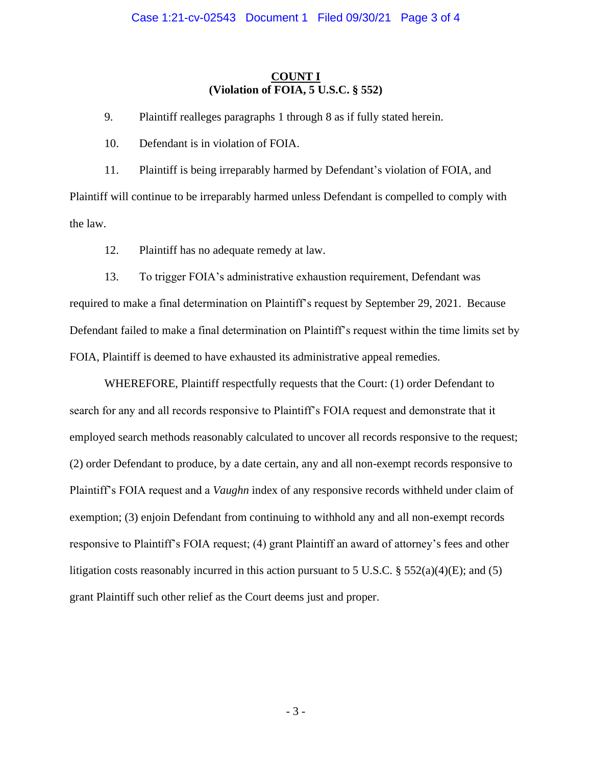## **COUNT I (Violation of FOIA, 5 U.S.C. § 552)**

9. Plaintiff realleges paragraphs 1 through 8 as if fully stated herein.

10. Defendant is in violation of FOIA.

11. Plaintiff is being irreparably harmed by Defendant's violation of FOIA, and Plaintiff will continue to be irreparably harmed unless Defendant is compelled to comply with the law.

12. Plaintiff has no adequate remedy at law.

13. To trigger FOIA's administrative exhaustion requirement, Defendant was required to make a final determination on Plaintiff's request by September 29, 2021. Because Defendant failed to make a final determination on Plaintiff's request within the time limits set by FOIA, Plaintiff is deemed to have exhausted its administrative appeal remedies.

WHEREFORE, Plaintiff respectfully requests that the Court: (1) order Defendant to search for any and all records responsive to Plaintiff's FOIA request and demonstrate that it employed search methods reasonably calculated to uncover all records responsive to the request; (2) order Defendant to produce, by a date certain, any and all non-exempt records responsive to Plaintiff's FOIA request and a *Vaughn* index of any responsive records withheld under claim of exemption; (3) enjoin Defendant from continuing to withhold any and all non-exempt records responsive to Plaintiff's FOIA request; (4) grant Plaintiff an award of attorney's fees and other litigation costs reasonably incurred in this action pursuant to 5 U.S.C.  $\S 552(a)(4)(E)$ ; and (5) grant Plaintiff such other relief as the Court deems just and proper.

- 3 -